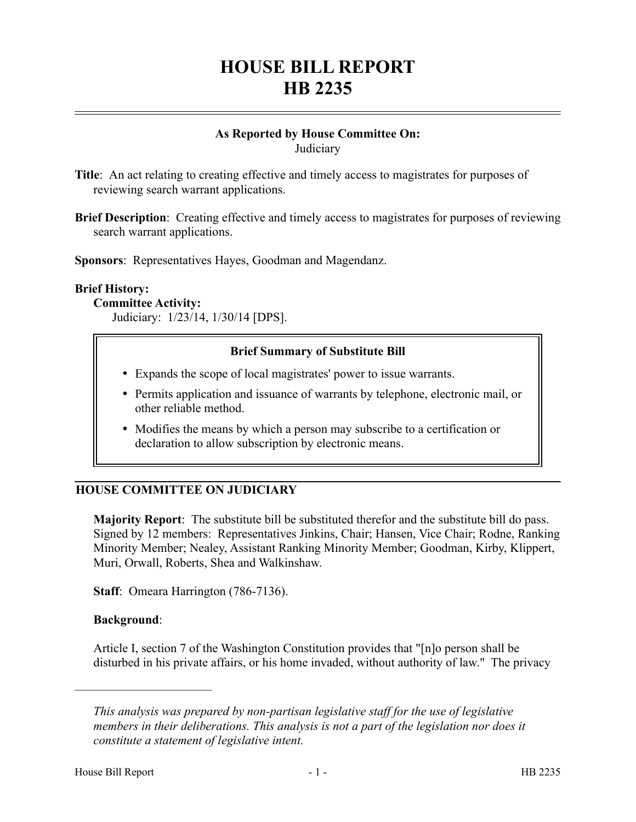# **HOUSE BILL REPORT HB 2235**

#### **As Reported by House Committee On: Judiciary**

**Title**: An act relating to creating effective and timely access to magistrates for purposes of reviewing search warrant applications.

**Brief Description**: Creating effective and timely access to magistrates for purposes of reviewing search warrant applications.

**Sponsors**: Representatives Hayes, Goodman and Magendanz.

#### **Brief History:**

#### **Committee Activity:**

Judiciary: 1/23/14, 1/30/14 [DPS].

#### **Brief Summary of Substitute Bill**

- Expands the scope of local magistrates' power to issue warrants.
- Permits application and issuance of warrants by telephone, electronic mail, or other reliable method.
- Modifies the means by which a person may subscribe to a certification or declaration to allow subscription by electronic means.

#### **HOUSE COMMITTEE ON JUDICIARY**

**Majority Report**: The substitute bill be substituted therefor and the substitute bill do pass. Signed by 12 members: Representatives Jinkins, Chair; Hansen, Vice Chair; Rodne, Ranking Minority Member; Nealey, Assistant Ranking Minority Member; Goodman, Kirby, Klippert, Muri, Orwall, Roberts, Shea and Walkinshaw.

**Staff**: Omeara Harrington (786-7136).

#### **Background**:

––––––––––––––––––––––

Article I, section 7 of the Washington Constitution provides that "[n]o person shall be disturbed in his private affairs, or his home invaded, without authority of law." The privacy

*This analysis was prepared by non-partisan legislative staff for the use of legislative members in their deliberations. This analysis is not a part of the legislation nor does it constitute a statement of legislative intent.*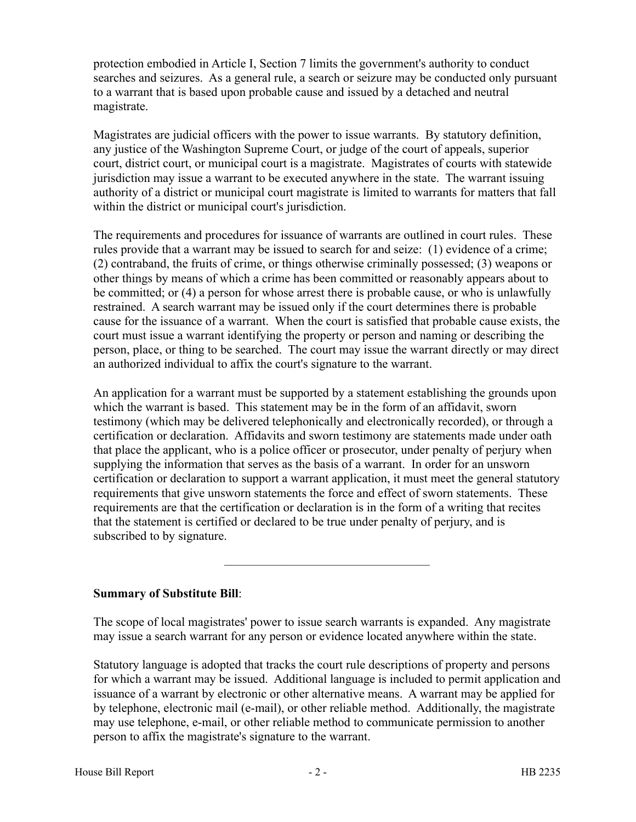protection embodied in Article I, Section 7 limits the government's authority to conduct searches and seizures. As a general rule, a search or seizure may be conducted only pursuant to a warrant that is based upon probable cause and issued by a detached and neutral magistrate.

Magistrates are judicial officers with the power to issue warrants. By statutory definition, any justice of the Washington Supreme Court, or judge of the court of appeals, superior court, district court, or municipal court is a magistrate. Magistrates of courts with statewide jurisdiction may issue a warrant to be executed anywhere in the state. The warrant issuing authority of a district or municipal court magistrate is limited to warrants for matters that fall within the district or municipal court's jurisdiction.

The requirements and procedures for issuance of warrants are outlined in court rules. These rules provide that a warrant may be issued to search for and seize: (1) evidence of a crime; (2) contraband, the fruits of crime, or things otherwise criminally possessed; (3) weapons or other things by means of which a crime has been committed or reasonably appears about to be committed; or (4) a person for whose arrest there is probable cause, or who is unlawfully restrained. A search warrant may be issued only if the court determines there is probable cause for the issuance of a warrant. When the court is satisfied that probable cause exists, the court must issue a warrant identifying the property or person and naming or describing the person, place, or thing to be searched. The court may issue the warrant directly or may direct an authorized individual to affix the court's signature to the warrant.

An application for a warrant must be supported by a statement establishing the grounds upon which the warrant is based. This statement may be in the form of an affidavit, sworn testimony (which may be delivered telephonically and electronically recorded), or through a certification or declaration. Affidavits and sworn testimony are statements made under oath that place the applicant, who is a police officer or prosecutor, under penalty of perjury when supplying the information that serves as the basis of a warrant. In order for an unsworn certification or declaration to support a warrant application, it must meet the general statutory requirements that give unsworn statements the force and effect of sworn statements. These requirements are that the certification or declaration is in the form of a writing that recites that the statement is certified or declared to be true under penalty of perjury, and is subscribed to by signature.

## **Summary of Substitute Bill**:

The scope of local magistrates' power to issue search warrants is expanded. Any magistrate may issue a search warrant for any person or evidence located anywhere within the state.

–––––––––––––––––––––––––––––––––

Statutory language is adopted that tracks the court rule descriptions of property and persons for which a warrant may be issued. Additional language is included to permit application and issuance of a warrant by electronic or other alternative means. A warrant may be applied for by telephone, electronic mail (e-mail), or other reliable method. Additionally, the magistrate may use telephone, e-mail, or other reliable method to communicate permission to another person to affix the magistrate's signature to the warrant.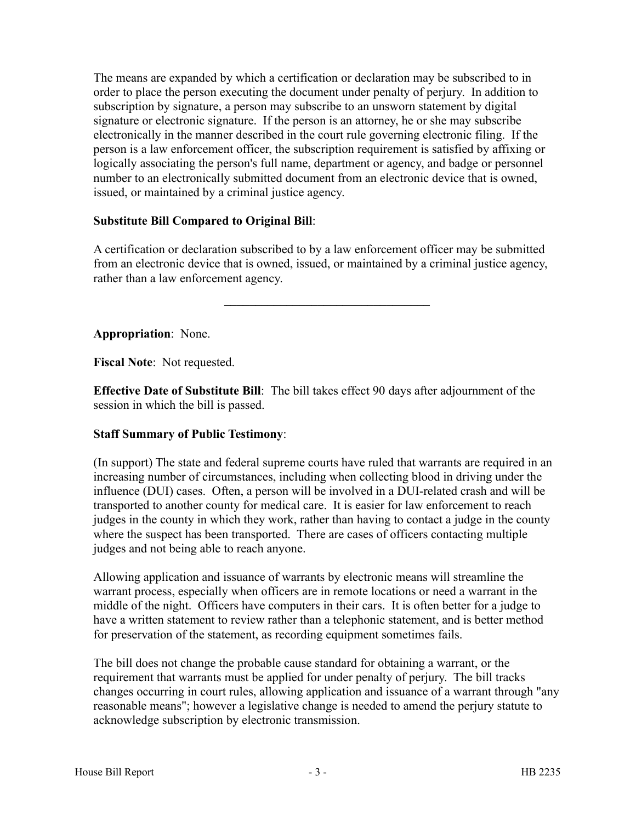The means are expanded by which a certification or declaration may be subscribed to in order to place the person executing the document under penalty of perjury. In addition to subscription by signature, a person may subscribe to an unsworn statement by digital signature or electronic signature. If the person is an attorney, he or she may subscribe electronically in the manner described in the court rule governing electronic filing. If the person is a law enforcement officer, the subscription requirement is satisfied by affixing or logically associating the person's full name, department or agency, and badge or personnel number to an electronically submitted document from an electronic device that is owned, issued, or maintained by a criminal justice agency.

# **Substitute Bill Compared to Original Bill**:

A certification or declaration subscribed to by a law enforcement officer may be submitted from an electronic device that is owned, issued, or maintained by a criminal justice agency, rather than a law enforcement agency.

–––––––––––––––––––––––––––––––––

**Appropriation**: None.

**Fiscal Note**: Not requested.

**Effective Date of Substitute Bill**: The bill takes effect 90 days after adjournment of the session in which the bill is passed.

## **Staff Summary of Public Testimony**:

(In support) The state and federal supreme courts have ruled that warrants are required in an increasing number of circumstances, including when collecting blood in driving under the influence (DUI) cases. Often, a person will be involved in a DUI-related crash and will be transported to another county for medical care. It is easier for law enforcement to reach judges in the county in which they work, rather than having to contact a judge in the county where the suspect has been transported. There are cases of officers contacting multiple judges and not being able to reach anyone.

Allowing application and issuance of warrants by electronic means will streamline the warrant process, especially when officers are in remote locations or need a warrant in the middle of the night. Officers have computers in their cars. It is often better for a judge to have a written statement to review rather than a telephonic statement, and is better method for preservation of the statement, as recording equipment sometimes fails.

The bill does not change the probable cause standard for obtaining a warrant, or the requirement that warrants must be applied for under penalty of perjury. The bill tracks changes occurring in court rules, allowing application and issuance of a warrant through "any reasonable means"; however a legislative change is needed to amend the perjury statute to acknowledge subscription by electronic transmission.